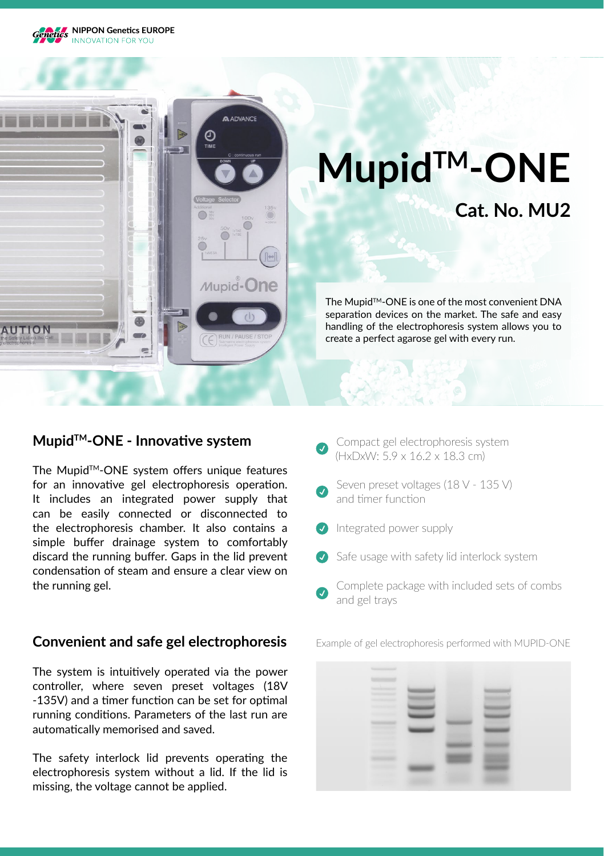



### **MupidTM-ONE - Innovative system**

The Mupid™-ONE system offers unique features for an innovative gel electrophoresis operation. It includes an integrated power supply that can be easily connected or disconnected to the electrophoresis chamber. It also contains a simple buffer drainage system to comfortably discard the running buffer. Gaps in the lid prevent condensation of steam and ensure a clear view on the running gel.

### **Convenient and safe gel electrophoresis**

The system is intuitively operated via the power controller, where seven preset voltages (18V -135V) and a timer function can be set for optimal running conditions. Parameters of the last run are automatically memorised and saved.

The safety interlock lid prevents operating the electrophoresis system without a lid. If the lid is missing, the voltage cannot be applied.

- Compact gel electrophoresis system (HxDxW: 5.9 x 16.2 x 18.3 cm)
- Seven preset voltages (18 V 135 V) and timer function
- **Integrated power supply**
- Safe usage with safety lid interlock system
- Complete package with included sets of combs and gel trays

Example of gel electrophoresis performed with MUPID-ONE

| <b>Summership</b>                                    |        |    |  |
|------------------------------------------------------|--------|----|--|
|                                                      |        |    |  |
| <b>Service Contractor</b><br><b>Telephone Avenue</b> |        |    |  |
| <b>SERVICE CONTROL</b>                               |        |    |  |
| <b>SURFACEANS</b>                                    |        |    |  |
| <b>ASSESSED</b>                                      |        |    |  |
| <b>STEVE COLLECT</b><br><b>STATISTICS</b>            |        |    |  |
|                                                      | $\sim$ | ×. |  |
| <b>SERVICE STATE</b><br><b>SERVICE CONTROL</b>       |        |    |  |
|                                                      |        |    |  |
| <b>SECTION OF</b>                                    |        | ۰  |  |
| <b>Section</b>                                       |        |    |  |